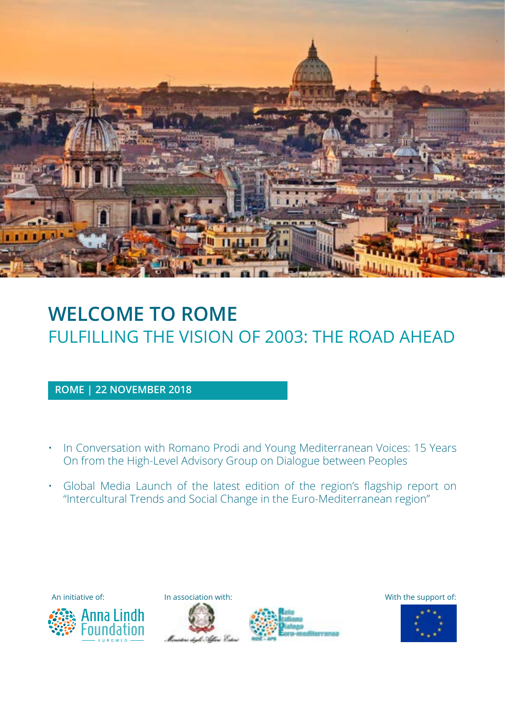

# **WELCOME TO ROME** FULFILLING THE VISION OF 2003: THE ROAD AHEAD

## **ROME | 22 NOVEMBER 2018**

- In Conversation with Romano Prodi and Young Mediterranean Voices: 15 Years On from the High-Level Advisory Group on Dialogue between Peoples
- Global Media Launch of the latest edition of the region's flagship report on "Intercultural Trends and Social Change in the Euro-Mediterranean region"







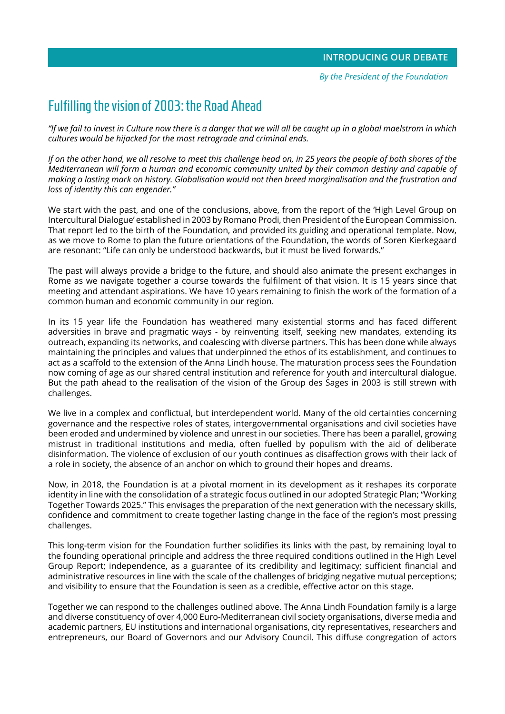**INTRODUCING OUR DEBATE**

*By the President of the Foundation*

## Fulfilling the vision of 2003: the Road Ahead

*"If we fail to invest in Culture now there is a danger that we will all be caught up in a global maelstrom in which cultures would be hijacked for the most retrograde and criminal ends.*

*If on the other hand, we all resolve to meet this challenge head on, in 25 years the people of both shores of the Mediterranean will form a human and economic community united by their common destiny and capable of making a lasting mark on history. Globalisation would not then breed marginalisation and the frustration and loss of identity this can engender."*

We start with the past, and one of the conclusions, above, from the report of the 'High Level Group on Intercultural Dialogue' established in 2003 by Romano Prodi, then President of the European Commission. That report led to the birth of the Foundation, and provided its guiding and operational template. Now, as we move to Rome to plan the future orientations of the Foundation, the words of Soren Kierkegaard are resonant: "Life can only be understood backwards, but it must be lived forwards."

The past will always provide a bridge to the future, and should also animate the present exchanges in Rome as we navigate together a course towards the fulfilment of that vision. It is 15 years since that meeting and attendant aspirations. We have 10 years remaining to finish the work of the formation of a common human and economic community in our region.

In its 15 year life the Foundation has weathered many existential storms and has faced different adversities in brave and pragmatic ways - by reinventing itself, seeking new mandates, extending its outreach, expanding its networks, and coalescing with diverse partners. This has been done while always maintaining the principles and values that underpinned the ethos of its establishment, and continues to act as a scaffold to the extension of the Anna Lindh house. The maturation process sees the Foundation now coming of age as our shared central institution and reference for youth and intercultural dialogue. But the path ahead to the realisation of the vision of the Group des Sages in 2003 is still strewn with challenges.

We live in a complex and conflictual, but interdependent world. Many of the old certainties concerning governance and the respective roles of states, intergovernmental organisations and civil societies have been eroded and undermined by violence and unrest in our societies. There has been a parallel, growing mistrust in traditional institutions and media, often fuelled by populism with the aid of deliberate disinformation. The violence of exclusion of our youth continues as disaffection grows with their lack of a role in society, the absence of an anchor on which to ground their hopes and dreams.

Now, in 2018, the Foundation is at a pivotal moment in its development as it reshapes its corporate identity in line with the consolidation of a strategic focus outlined in our adopted Strategic Plan; "Working Together Towards 2025." This envisages the preparation of the next generation with the necessary skills, confidence and commitment to create together lasting change in the face of the region's most pressing challenges.

This long-term vision for the Foundation further solidifies its links with the past, by remaining loyal to the founding operational principle and address the three required conditions outlined in the High Level Group Report; independence, as a guarantee of its credibility and legitimacy; sufficient financial and administrative resources in line with the scale of the challenges of bridging negative mutual perceptions; and visibility to ensure that the Foundation is seen as a credible, effective actor on this stage.

Together we can respond to the challenges outlined above. The Anna Lindh Foundation family is a large and diverse constituency of over 4,000 Euro-Mediterranean civil society organisations, diverse media and academic partners, EU institutions and international organisations, city representatives, researchers and entrepreneurs, our Board of Governors and our Advisory Council. This diffuse congregation of actors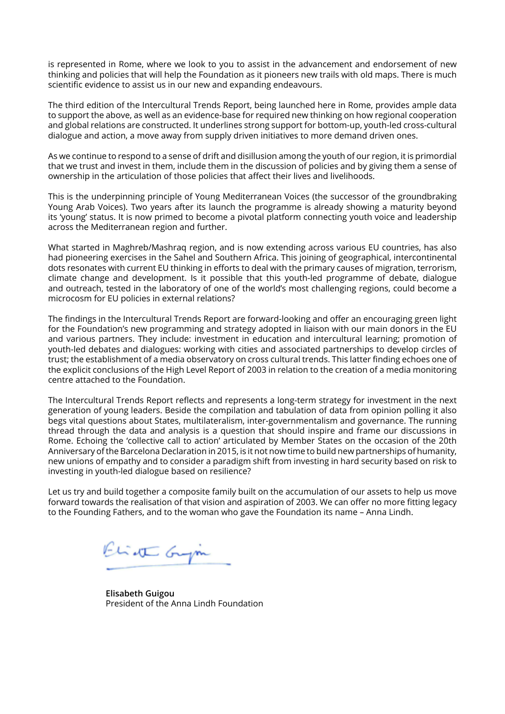is represented in Rome, where we look to you to assist in the advancement and endorsement of new thinking and policies that will help the Foundation as it pioneers new trails with old maps. There is much scientific evidence to assist us in our new and expanding endeavours.

The third edition of the Intercultural Trends Report, being launched here in Rome, provides ample data to support the above, as well as an evidence-base for required new thinking on how regional cooperation and global relations are constructed. It underlines strong support for bottom-up, youth-led cross-cultural dialogue and action, a move away from supply driven initiatives to more demand driven ones.

As we continue to respond to a sense of drift and disillusion among the youth of our region, it is primordial that we trust and invest in them, include them in the discussion of policies and by giving them a sense of ownership in the articulation of those policies that affect their lives and livelihoods.

This is the underpinning principle of Young Mediterranean Voices (the successor of the groundbraking Young Arab Voices). Two years after its launch the programme is already showing a maturity beyond its 'young' status. It is now primed to become a pivotal platform connecting youth voice and leadership across the Mediterranean region and further.

What started in Maghreb/Mashraq region, and is now extending across various EU countries, has also had pioneering exercises in the Sahel and Southern Africa. This joining of geographical, intercontinental dots resonates with current EU thinking in efforts to deal with the primary causes of migration, terrorism, climate change and development. Is it possible that this youth-led programme of debate, dialogue and outreach, tested in the laboratory of one of the world's most challenging regions, could become a microcosm for EU policies in external relations?

The findings in the Intercultural Trends Report are forward-looking and offer an encouraging green light for the Foundation's new programming and strategy adopted in liaison with our main donors in the EU and various partners. They include: investment in education and intercultural learning; promotion of youth-led debates and dialogues: working with cities and associated partnerships to develop circles of trust; the establishment of a media observatory on cross cultural trends. This latter finding echoes one of the explicit conclusions of the High Level Report of 2003 in relation to the creation of a media monitoring centre attached to the Foundation.

The Intercultural Trends Report reflects and represents a long-term strategy for investment in the next generation of young leaders. Beside the compilation and tabulation of data from opinion polling it also begs vital questions about States, multilateralism, inter-governmentalism and governance. The running thread through the data and analysis is a question that should inspire and frame our discussions in Rome. Echoing the 'collective call to action' articulated by Member States on the occasion of the 20th Anniversary of the Barcelona Declaration in 2015, is it not now time to build new partnerships of humanity, new unions of empathy and to consider a paradigm shift from investing in hard security based on risk to investing in youth-led dialogue based on resilience?

Let us try and build together a composite family built on the accumulation of our assets to help us move forward towards the realisation of that vision and aspiration of 2003. We can offer no more fitting legacy to the Founding Fathers, and to the woman who gave the Foundation its name – Anna Lindh.

Eliott Grym

**Elisabeth Guigou** President of the Anna Lindh Foundation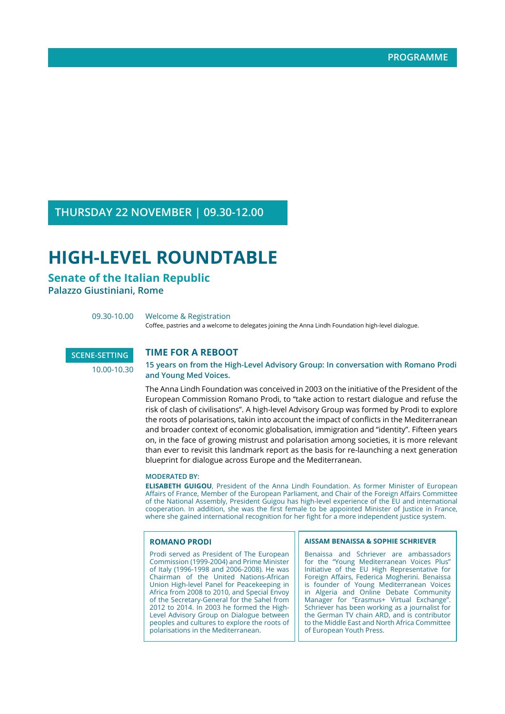**THURSDAY 22 NOVEMBER | 09.30-12.00** 

## **HIGH-LEVEL ROUNDTABLE**

## **Senate of the Italian Republic**

**Palazzo Giustiniani, Rome**

09.30-10.00 Welcome & Registration Coffee, pastries and a welcome to delegates joining the Anna Lindh Foundation high-level dialogue.



### **TIME FOR A REBOOT**

**15 years on from the High-Level Advisory Group: In conversation with Romano Prodi and Young Med Voices.**

The Anna Lindh Foundation was conceived in 2003 on the initiative of the President of the European Commission Romano Prodi, to "take action to restart dialogue and refuse the risk of clash of civilisations". A high-level Advisory Group was formed by Prodi to explore the roots of polarisations, takin into account the impact of conflicts in the Mediterranean and broader context of economic globalisation, immigration and "identity". Fifteen years on, in the face of growing mistrust and polarisation among societies, it is more relevant than ever to revisit this landmark report as the basis for re-launching a next generation blueprint for dialogue across Europe and the Mediterranean.

#### **MODERATED BY:**

**ELISABETH GUIGOU**, President of the Anna Lindh Foundation. As former Minister of European Affairs of France, Member of the European Parliament, and Chair of the Foreign Affairs Committee of the National Assembly, President Guigou has high-level experience of the EU and international cooperation. In addition, she was the first female to be appointed Minister of Justice in France, where she gained international recognition for her fight for a more independent justice system.

#### **ROMANO PRODI**

Prodi served as President of The European Commission (1999-2004) and Prime Minister of Italy (1996-1998 and 2006-2008). He was Chairman of the United Nations-African Union High-level Panel for Peacekeeping in Africa from 2008 to 2010, and Special Envoy of the Secretary-General for the Sahel from 2012 to 2014. In 2003 he formed the High-Level Advisory Group on Dialogue between peoples and cultures to explore the roots of polarisations in the Mediterranean.

#### **AISSAM BENAISSA & SOPHIE SCHRIEVER**

Benaissa and Schriever are ambassadors for the "Young Mediterranean Voices Plus" Initiative of the EU High Representative for Foreign Affairs, Federica Mogherini. Benaissa is founder of Young Mediterranean Voices in Algeria and Online Debate Community Manager for "Erasmus+ Virtual Exchange". Schriever has been working as a journalist for the German TV chain ARD, and is contributor to the Middle East and North Africa Committee of European Youth Press.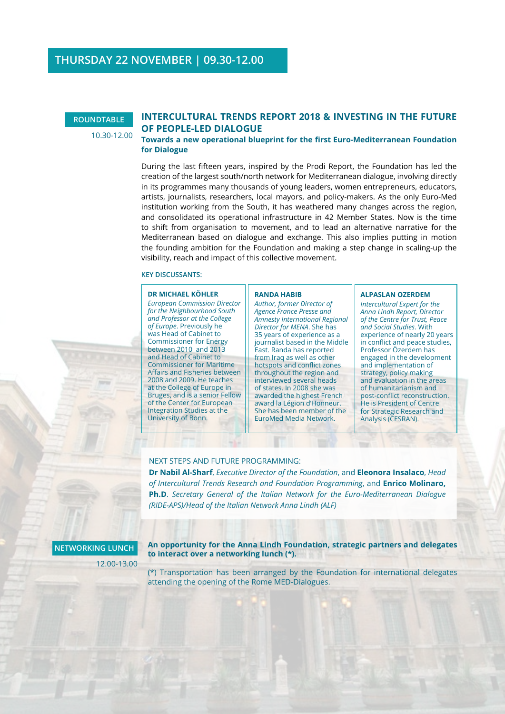**ROUNDTABLE**

10.30-12.00

## **INTERCULTURAL TRENDS REPORT 2018 & INVESTING IN THE FUTURE OF PEOPLE-LED DIALOGUE**

### **Towards a new operational blueprint for the first Euro-Mediterranean Foundation for Dialogue**

During the last fifteen years, inspired by the Prodi Report, the Foundation has led the creation of the largest south/north network for Mediterranean dialogue, involving directly in its programmes many thousands of young leaders, women entrepreneurs, educators, artists, journalists, researchers, local mayors, and policy-makers. As the only Euro-Med institution working from the South, it has weathered many changes across the region, and consolidated its operational infrastructure in 42 Member States. Now is the time to shift from organisation to movement, and to lead an alternative narrative for the Mediterranean based on dialogue and exchange. This also implies putting in motion the founding ambition for the Foundation and making a step change in scaling-up the visibility, reach and impact of this collective movement.

#### **KEY DISCUSSANTS:**

**DR MICHAEL KÖHLER** *European Commission Director for the Neighbourhood South and Professor at the College of Europe*. Previously he was Head of Cabinet to Commissioner for Energy between 2010 and 2013 and Head of Cabinet to Commissioner for Maritime Affairs and Fisheries between 2008 and 2009. He teaches at the College of Europe in Bruges, and is a senior Fellow of the Center for European Integration Studies at the University of Bonn.

#### **RANDA HABIB**

*Author, former Director of Agence France Presse and Amnesty International Regional Director for MENA*. She has 35 years of experience as a journalist based in the Middle East. Randa has reported from Iraq as well as other hotspots and conflict zones throughout the region and interviewed several heads of states. In 2008 she was awarded the highest French award la Légion d'Honneur. She has been member of the EuroMed Media Network.

#### **ALPASLAN OZERDEM**

*Intercultural Expert for the Anna Lindh Report, Director of the Centre for Trust, Peace and Social Studies*. With experience of nearly 20 years in conflict and peace studies, Professor Özerdem has engaged in the development and implementation of strategy, policy making and evaluation in the areas of humanitarianism and post-conflict reconstruction. He is President of Centre for Strategic Research and Analysis (CESRAN).

#### NEXT STEPS AND FUTURE PROGRAMMING:

**Dr Nabil Al-Sharf**, *Executive Director of the Foundation*, and **Eleonora Insalaco**, *Head of Intercultural Trends Research and Foundation Programming*, and **Enrico Molinaro, Ph.D**. *Secretary General of the Italian Network for the Euro-Mediterranean Dialogue (RIDE-APS)/Head of the Italian Network Anna Lindh (ALF)*

**NETWORKING LUNCH**

12.00-13.00

**An opportunity for the Anna Lindh Foundation, strategic partners and delegates to interact over a networking lunch (\*).**

(\*) Transportation has been arranged by the Foundation for international delegates attending the opening of the Rome MED-Dialogues.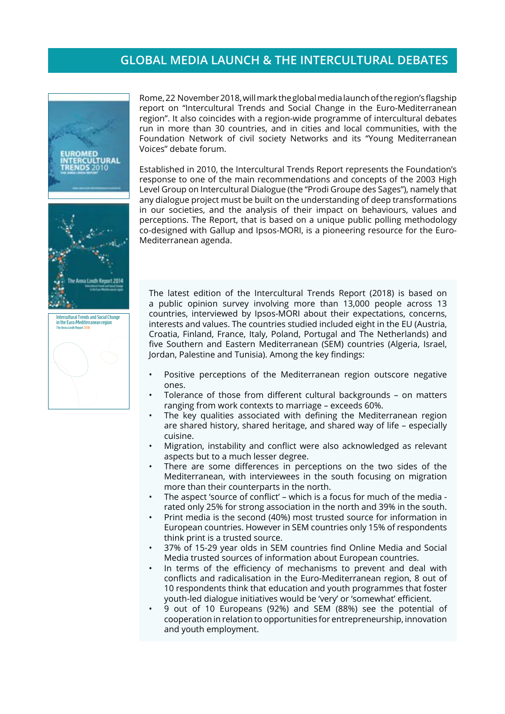## **GLOBAL MEDIA LAUNCH & THE INTERCULTURAL DEBATES**







Rome, 22 November 2018, will mark the global media launch of the region's flagship report on "Intercultural Trends and Social Change in the Euro-Mediterranean region". It also coincides with a region-wide programme of intercultural debates run in more than 30 countries, and in cities and local communities, with the Foundation Network of civil society Networks and its "Young Mediterranean Voices" debate forum.

Established in 2010, the Intercultural Trends Report represents the Foundation's response to one of the main recommendations and concepts of the 2003 High Level Group on Intercultural Dialogue (the "Prodi Groupe des Sages"), namely that any dialogue project must be built on the understanding of deep transformations in our societies, and the analysis of their impact on behaviours, values and perceptions. The Report, that is based on a unique public polling methodology co-designed with Gallup and Ipsos-MORI, is a pioneering resource for the Euro-Mediterranean agenda.

The latest edition of the Intercultural Trends Report (2018) is based on a public opinion survey involving more than 13,000 people across 13 countries, interviewed by Ipsos-MORI about their expectations, concerns, interests and values. The countries studied included eight in the EU (Austria, Croatia, Finland, France, Italy, Poland, Portugal and The Netherlands) and five Southern and Eastern Mediterranean (SEM) countries (Algeria, Israel, Jordan, Palestine and Tunisia). Among the key findings:

- Positive perceptions of the Mediterranean region outscore negative ones.
- Tolerance of those from different cultural backgrounds on matters ranging from work contexts to marriage – exceeds 60%.
- The key qualities associated with defining the Mediterranean region are shared history, shared heritage, and shared way of life – especially cuisine.
- Migration, instability and conflict were also acknowledged as relevant aspects but to a much lesser degree.
- There are some differences in perceptions on the two sides of the Mediterranean, with interviewees in the south focusing on migration more than their counterparts in the north.
- The aspect 'source of conflict' which is a focus for much of the media rated only 25% for strong association in the north and 39% in the south.
- Print media is the second (40%) most trusted source for information in European countries. However in SEM countries only 15% of respondents think print is a trusted source.
- 37% of 15-29 year olds in SEM countries find Online Media and Social Media trusted sources of information about European countries.
- In terms of the efficiency of mechanisms to prevent and deal with conflicts and radicalisation in the Euro-Mediterranean region, 8 out of 10 respondents think that education and youth programmes that foster youth-led dialogue initiatives would be 'very' or 'somewhat' efficient.
- 9 out of 10 Europeans (92%) and SEM (88%) see the potential of cooperation in relation to opportunities for entrepreneurship, innovation and youth employment.